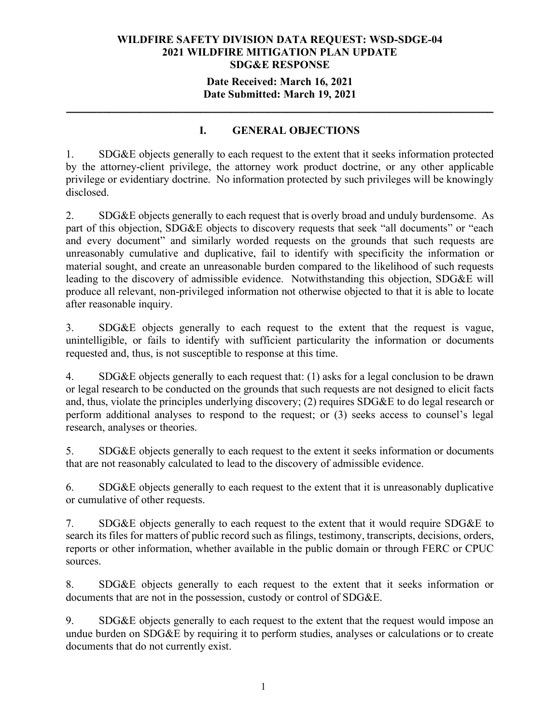### **Date Received: March 16, 2021 Date Submitted: March 19, 2021**

**\_\_\_\_\_\_\_\_\_\_\_\_\_\_\_\_\_\_\_\_\_\_\_\_\_\_\_\_\_\_\_\_\_\_\_\_\_\_\_\_\_\_\_\_\_\_\_\_\_\_\_\_\_\_\_\_\_\_\_\_\_\_\_\_\_\_\_\_\_\_**

# **I. GENERAL OBJECTIONS**

1. SDG&E objects generally to each request to the extent that it seeks information protected by the attorney-client privilege, the attorney work product doctrine, or any other applicable privilege or evidentiary doctrine. No information protected by such privileges will be knowingly disclosed.

2. SDG&E objects generally to each request that is overly broad and unduly burdensome. As part of this objection, SDG&E objects to discovery requests that seek "all documents" or "each and every document" and similarly worded requests on the grounds that such requests are unreasonably cumulative and duplicative, fail to identify with specificity the information or material sought, and create an unreasonable burden compared to the likelihood of such requests leading to the discovery of admissible evidence. Notwithstanding this objection, SDG&E will produce all relevant, non-privileged information not otherwise objected to that it is able to locate after reasonable inquiry.

3. SDG&E objects generally to each request to the extent that the request is vague, unintelligible, or fails to identify with sufficient particularity the information or documents requested and, thus, is not susceptible to response at this time.

4. SDG&E objects generally to each request that: (1) asks for a legal conclusion to be drawn or legal research to be conducted on the grounds that such requests are not designed to elicit facts and, thus, violate the principles underlying discovery; (2) requires SDG&E to do legal research or perform additional analyses to respond to the request; or (3) seeks access to counsel's legal research, analyses or theories.

5. SDG&E objects generally to each request to the extent it seeks information or documents that are not reasonably calculated to lead to the discovery of admissible evidence.

6. SDG&E objects generally to each request to the extent that it is unreasonably duplicative or cumulative of other requests.

7. SDG&E objects generally to each request to the extent that it would require SDG&E to search its files for matters of public record such as filings, testimony, transcripts, decisions, orders, reports or other information, whether available in the public domain or through FERC or CPUC sources.

8. SDG&E objects generally to each request to the extent that it seeks information or documents that are not in the possession, custody or control of SDG&E.

9. SDG&E objects generally to each request to the extent that the request would impose an undue burden on SDG&E by requiring it to perform studies, analyses or calculations or to create documents that do not currently exist.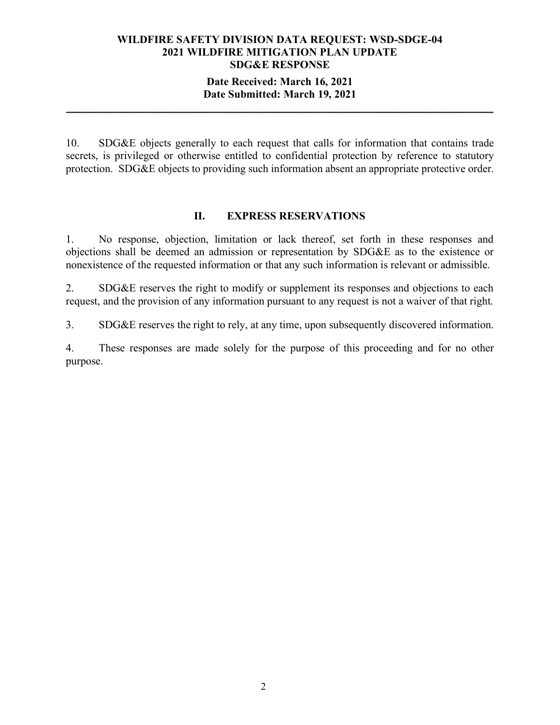## **Date Received: March 16, 2021 Date Submitted: March 19, 2021**

**\_\_\_\_\_\_\_\_\_\_\_\_\_\_\_\_\_\_\_\_\_\_\_\_\_\_\_\_\_\_\_\_\_\_\_\_\_\_\_\_\_\_\_\_\_\_\_\_\_\_\_\_\_\_\_\_\_\_\_\_\_\_\_\_\_\_\_\_\_\_**

10. SDG&E objects generally to each request that calls for information that contains trade secrets, is privileged or otherwise entitled to confidential protection by reference to statutory protection. SDG&E objects to providing such information absent an appropriate protective order.

### **II. EXPRESS RESERVATIONS**

1. No response, objection, limitation or lack thereof, set forth in these responses and objections shall be deemed an admission or representation by SDG&E as to the existence or nonexistence of the requested information or that any such information is relevant or admissible.

2. SDG&E reserves the right to modify or supplement its responses and objections to each request, and the provision of any information pursuant to any request is not a waiver of that right.

3. SDG&E reserves the right to rely, at any time, upon subsequently discovered information.

4. These responses are made solely for the purpose of this proceeding and for no other purpose.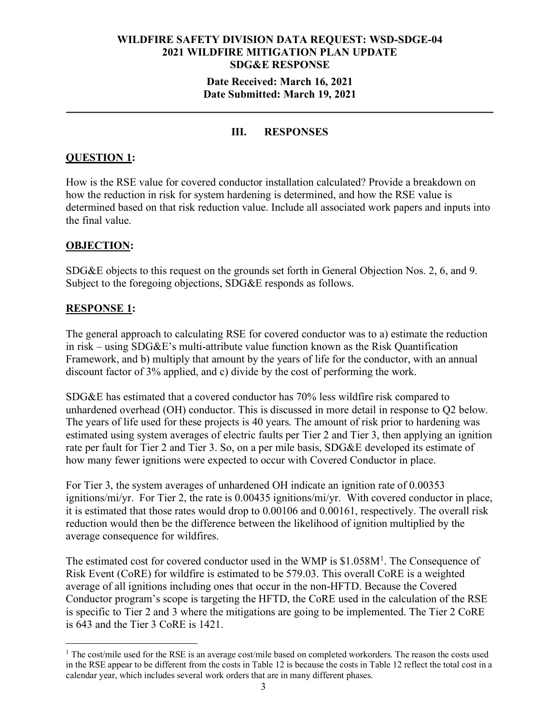### **Date Received: March 16, 2021 Date Submitted: March 19, 2021**

**\_\_\_\_\_\_\_\_\_\_\_\_\_\_\_\_\_\_\_\_\_\_\_\_\_\_\_\_\_\_\_\_\_\_\_\_\_\_\_\_\_\_\_\_\_\_\_\_\_\_\_\_\_\_\_\_\_\_\_\_\_\_\_\_\_\_\_\_\_\_**

## **III. RESPONSES**

## **QUESTION 1:**

How is the RSE value for covered conductor installation calculated? Provide a breakdown on how the reduction in risk for system hardening is determined, and how the RSE value is determined based on that risk reduction value. Include all associated work papers and inputs into the final value.

## **OBJECTION:**

SDG&E objects to this request on the grounds set forth in General Objection Nos. 2, 6, and 9. Subject to the foregoing objections, SDG&E responds as follows.

## **RESPONSE 1:**

The general approach to calculating RSE for covered conductor was to a) estimate the reduction in risk – using SDG&E's multi-attribute value function known as the Risk Quantification Framework, and b) multiply that amount by the years of life for the conductor, with an annual discount factor of 3% applied, and c) divide by the cost of performing the work.

SDG&E has estimated that a covered conductor has 70% less wildfire risk compared to unhardened overhead (OH) conductor. This is discussed in more detail in response to Q2 below. The years of life used for these projects is 40 years. The amount of risk prior to hardening was estimated using system averages of electric faults per Tier 2 and Tier 3, then applying an ignition rate per fault for Tier 2 and Tier 3. So, on a per mile basis, SDG&E developed its estimate of how many fewer ignitions were expected to occur with Covered Conductor in place.

For Tier 3, the system averages of unhardened OH indicate an ignition rate of 0.00353 ignitions/mi/yr. For Tier 2, the rate is 0.00435 ignitions/mi/yr. With covered conductor in place, it is estimated that those rates would drop to 0.00106 and 0.00161, respectively. The overall risk reduction would then be the difference between the likelihood of ignition multiplied by the average consequence for wildfires.

The estimated cost for covered conductor used in the WMP is  $$1.058M<sup>1</sup>$  $$1.058M<sup>1</sup>$  $$1.058M<sup>1</sup>$ . The Consequence of Risk Event (CoRE) for wildfire is estimated to be 579.03. This overall CoRE is a weighted average of all ignitions including ones that occur in the non-HFTD. Because the Covered Conductor program's scope is targeting the HFTD, the CoRE used in the calculation of the RSE is specific to Tier 2 and 3 where the mitigations are going to be implemented. The Tier 2 CoRE is 643 and the Tier 3 CoRE is 1421.

<span id="page-2-0"></span><sup>&</sup>lt;sup>1</sup> The cost/mile used for the RSE is an average cost/mile based on completed workorders. The reason the costs used in the RSE appear to be different from the costs in Table 12 is because the costs in Table 12 reflect the total cost in a calendar year, which includes several work orders that are in many different phases.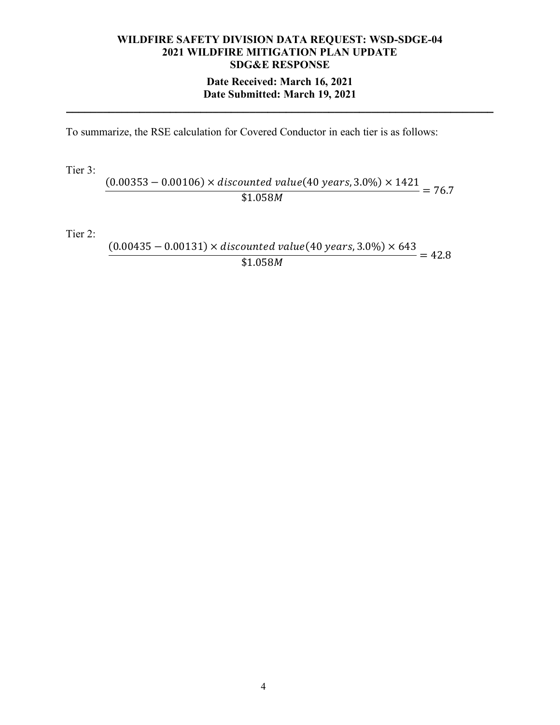# **WILDFIRE SAFETY DIVISION DATA REQUEST: WSD-SDGE-04 2021 WILDFIRE MITIGATION PLAN UPDATE SDG&E RESPONSE Date Received: March 16, 2021**

# **Date Submitted: March 19, 2021 \_\_\_\_\_\_\_\_\_\_\_\_\_\_\_\_\_\_\_\_\_\_\_\_\_\_\_\_\_\_\_\_\_\_\_\_\_\_\_\_\_\_\_\_\_\_\_\_\_\_\_\_\_\_\_\_\_\_\_\_\_\_\_\_\_\_\_\_\_\_**

To summarize, the RSE calculation for Covered Conductor in each tier is as follows:

Tier 3:

 $(0.00353 - 0.00106) \times$  discounted value $(40 \text{ years}, 3.0\%) \times 1421$  $$1.058M$  = 76.7

Tier 2:

 $(0.00435 - 0.00131) \times$  discounted value $(40 \text{ years}, 3.0\%) \times 643$  $\overline{$1.058M}$  = 42.8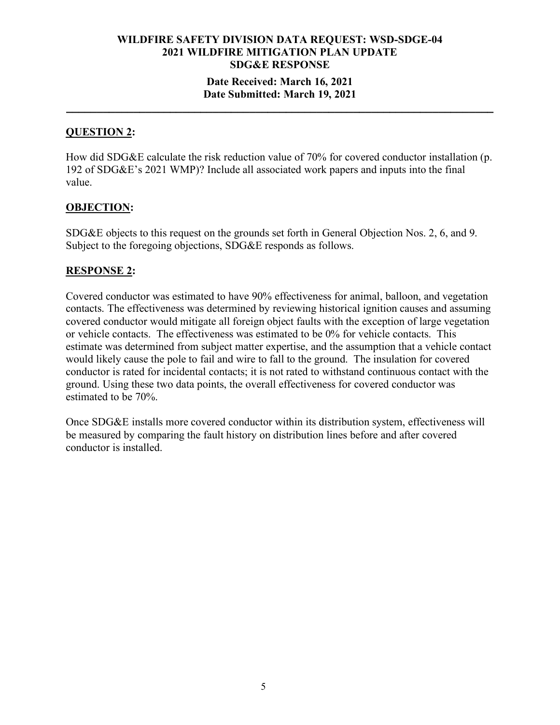### **Date Received: March 16, 2021 Date Submitted: March 19, 2021**

**\_\_\_\_\_\_\_\_\_\_\_\_\_\_\_\_\_\_\_\_\_\_\_\_\_\_\_\_\_\_\_\_\_\_\_\_\_\_\_\_\_\_\_\_\_\_\_\_\_\_\_\_\_\_\_\_\_\_\_\_\_\_\_\_\_\_\_\_\_\_**

## **QUESTION 2:**

How did SDG&E calculate the risk reduction value of 70% for covered conductor installation (p. 192 of SDG&E's 2021 WMP)? Include all associated work papers and inputs into the final value.

## **OBJECTION:**

SDG&E objects to this request on the grounds set forth in General Objection Nos. 2, 6, and 9. Subject to the foregoing objections, SDG&E responds as follows.

## **RESPONSE 2:**

Covered conductor was estimated to have 90% effectiveness for animal, balloon, and vegetation contacts. The effectiveness was determined by reviewing historical ignition causes and assuming covered conductor would mitigate all foreign object faults with the exception of large vegetation or vehicle contacts. The effectiveness was estimated to be 0% for vehicle contacts. This estimate was determined from subject matter expertise, and the assumption that a vehicle contact would likely cause the pole to fail and wire to fall to the ground. The insulation for covered conductor is rated for incidental contacts; it is not rated to withstand continuous contact with the ground. Using these two data points, the overall effectiveness for covered conductor was estimated to be 70%.

Once SDG&E installs more covered conductor within its distribution system, effectiveness will be measured by comparing the fault history on distribution lines before and after covered conductor is installed.